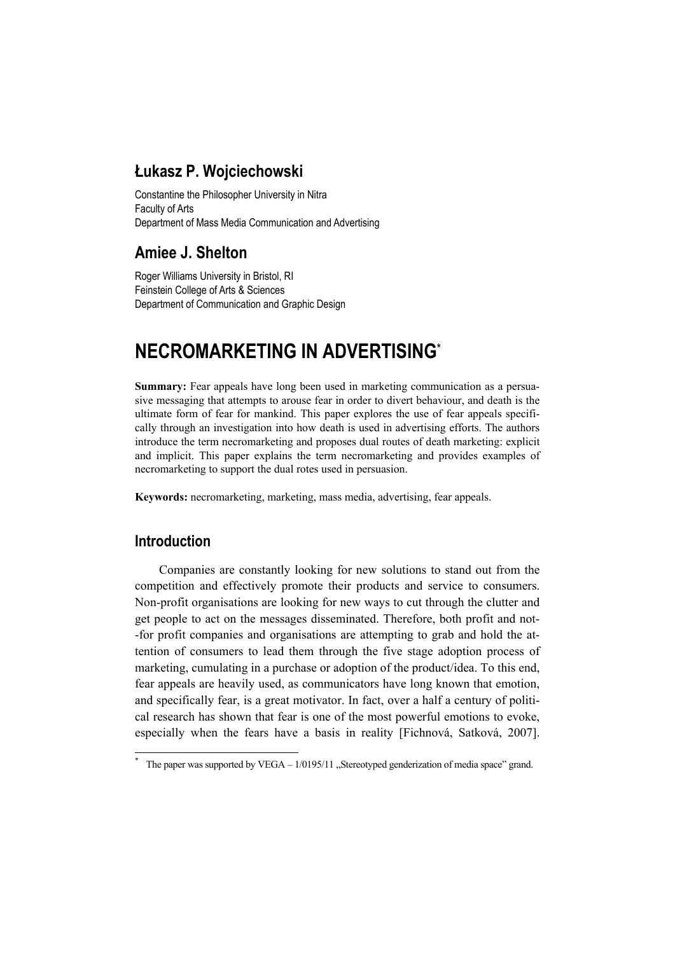## **Łukasz P. Wojciechowski**

Constantine the Philosopher University in Nitra Faculty of Arts Department of Mass Media Communication and Advertising

## **Amiee J. Shelton**

Roger Williams University in Bristol, RI Feinstein College of Arts & Sciences Department of Communication and Graphic Design

# **NECROMARKETING IN ADVERTISING**\*

**Summary:** Fear appeals have long been used in marketing communication as a persuasive messaging that attempts to arouse fear in order to divert behaviour, and death is the ultimate form of fear for mankind. This paper explores the use of fear appeals specifically through an investigation into how death is used in advertising efforts. The authors introduce the term necromarketing and proposes dual routes of death marketing: explicit and implicit. This paper explains the term necromarketing and provides examples of necromarketing to support the dual rotes used in persuasion.

**Keywords:** necromarketing, marketing, mass media, advertising, fear appeals.

### **Introduction**

 $\overline{\phantom{a}}$ 

Companies are constantly looking for new solutions to stand out from the competition and effectively promote their products and service to consumers. Non-profit organisations are looking for new ways to cut through the clutter and get people to act on the messages disseminated. Therefore, both profit and not- -for profit companies and organisations are attempting to grab and hold the attention of consumers to lead them through the five stage adoption process of marketing, cumulating in a purchase or adoption of the product/idea. To this end, fear appeals are heavily used, as communicators have long known that emotion, and specifically fear, is a great motivator. In fact, over a half a century of political research has shown that fear is one of the most powerful emotions to evoke, especially when the fears have a basis in reality [Fichnová, Satková, 2007].

<sup>\*</sup> The paper was supported by  $VEGA - 1/0195/11$  . Stereotyped genderization of media space" grand.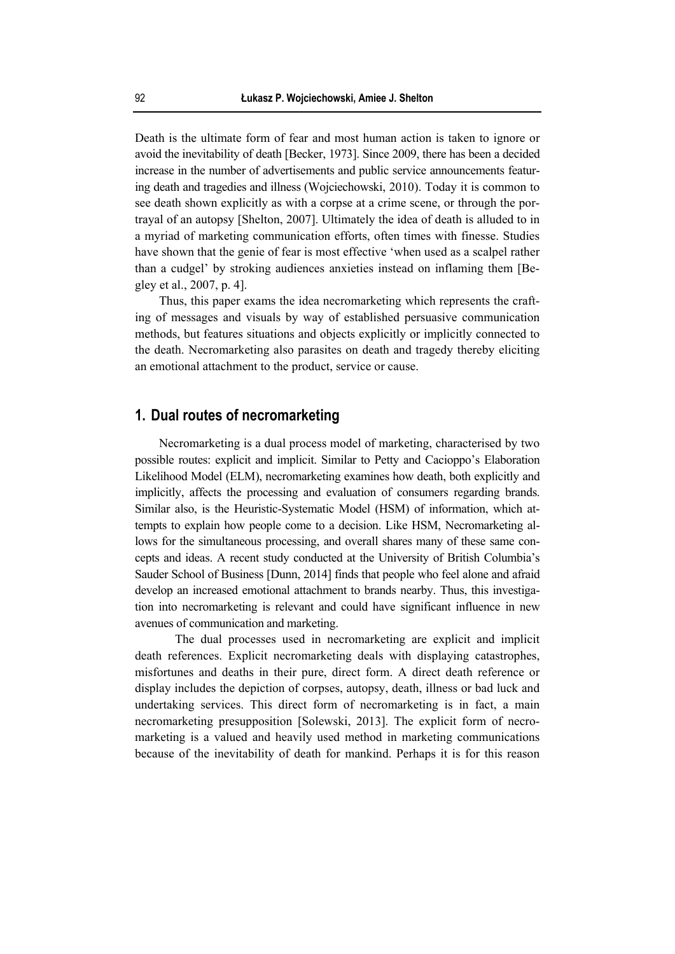Death is the ultimate form of fear and most human action is taken to ignore or avoid the inevitability of death [Becker, 1973]. Since 2009, there has been a decided increase in the number of advertisements and public service announcements featuring death and tragedies and illness (Wojciechowski, 2010). Today it is common to see death shown explicitly as with a corpse at a crime scene, or through the portrayal of an autopsy [Shelton, 2007]. Ultimately the idea of death is alluded to in a myriad of marketing communication efforts, often times with finesse. Studies have shown that the genie of fear is most effective 'when used as a scalpel rather than a cudgel' by stroking audiences anxieties instead on inflaming them [Begley et al., 2007, p. 4].

Thus, this paper exams the idea necromarketing which represents the crafting of messages and visuals by way of established persuasive communication methods, but features situations and objects explicitly or implicitly connected to the death. Necromarketing also parasites on death and tragedy thereby eliciting an emotional attachment to the product, service or cause.

### **1. Dual routes of necromarketing**

Necromarketing is a dual process model of marketing, characterised by two possible routes: explicit and implicit. Similar to Petty and Cacioppo's Elaboration Likelihood Model (ELM), necromarketing examines how death, both explicitly and implicitly, affects the processing and evaluation of consumers regarding brands. Similar also, is the Heuristic-Systematic Model (HSM) of information, which attempts to explain how people come to a decision. Like HSM, Necromarketing allows for the simultaneous processing, and overall shares many of these same concepts and ideas. A recent study conducted at the University of British Columbia's Sauder School of Business [Dunn, 2014] finds that people who feel alone and afraid develop an increased emotional attachment to brands nearby. Thus, this investigation into necromarketing is relevant and could have significant influence in new avenues of communication and marketing.

 The dual processes used in necromarketing are explicit and implicit death references. Explicit necromarketing deals with displaying catastrophes, misfortunes and deaths in their pure, direct form. A direct death reference or display includes the depiction of corpses, autopsy, death, illness or bad luck and undertaking services. This direct form of necromarketing is in fact, a main necromarketing presupposition [Solewski, 2013]. The explicit form of necromarketing is a valued and heavily used method in marketing communications because of the inevitability of death for mankind. Perhaps it is for this reason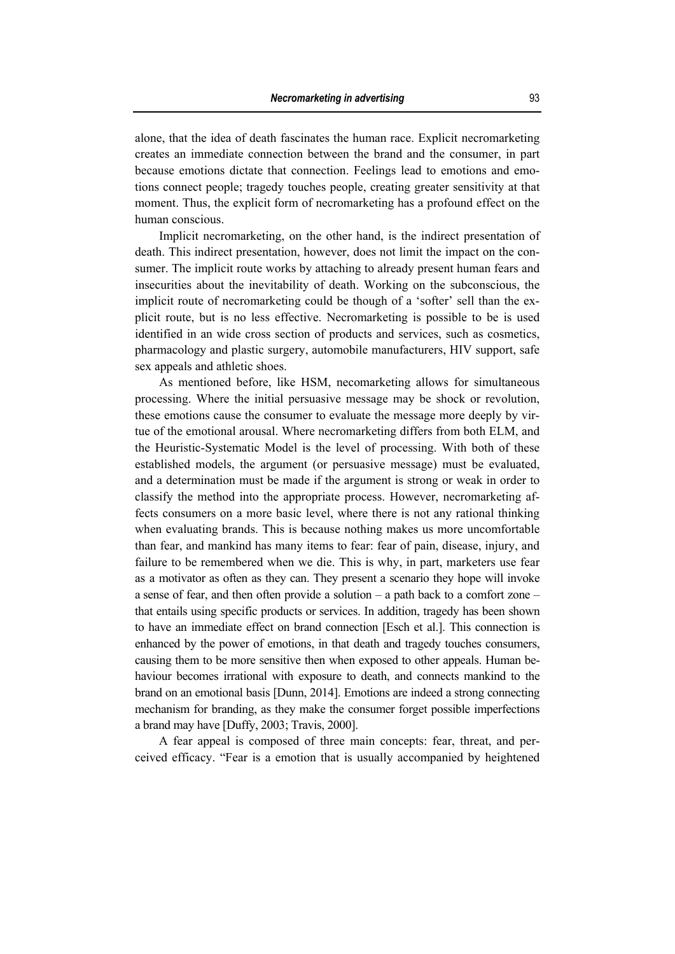alone, that the idea of death fascinates the human race. Explicit necromarketing creates an immediate connection between the brand and the consumer, in part because emotions dictate that connection. Feelings lead to emotions and emotions connect people; tragedy touches people, creating greater sensitivity at that moment. Thus, the explicit form of necromarketing has a profound effect on the human conscious.

Implicit necromarketing, on the other hand, is the indirect presentation of death. This indirect presentation, however, does not limit the impact on the consumer. The implicit route works by attaching to already present human fears and insecurities about the inevitability of death. Working on the subconscious, the implicit route of necromarketing could be though of a 'softer' sell than the explicit route, but is no less effective. Necromarketing is possible to be is used identified in an wide cross section of products and services, such as cosmetics, pharmacology and plastic surgery, automobile manufacturers, HIV support, safe sex appeals and athletic shoes.

As mentioned before, like HSM, necomarketing allows for simultaneous processing. Where the initial persuasive message may be shock or revolution, these emotions cause the consumer to evaluate the message more deeply by virtue of the emotional arousal. Where necromarketing differs from both ELM, and the Heuristic-Systematic Model is the level of processing. With both of these established models, the argument (or persuasive message) must be evaluated, and a determination must be made if the argument is strong or weak in order to classify the method into the appropriate process. However, necromarketing affects consumers on a more basic level, where there is not any rational thinking when evaluating brands. This is because nothing makes us more uncomfortable than fear, and mankind has many items to fear: fear of pain, disease, injury, and failure to be remembered when we die. This is why, in part, marketers use fear as a motivator as often as they can. They present a scenario they hope will invoke a sense of fear, and then often provide a solution – a path back to a comfort zone – that entails using specific products or services. In addition, tragedy has been shown to have an immediate effect on brand connection [Esch et al.]. This connection is enhanced by the power of emotions, in that death and tragedy touches consumers, causing them to be more sensitive then when exposed to other appeals. Human behaviour becomes irrational with exposure to death, and connects mankind to the brand on an emotional basis [Dunn, 2014]. Emotions are indeed a strong connecting mechanism for branding, as they make the consumer forget possible imperfections a brand may have [Duffy, 2003; Travis, 2000].

A fear appeal is composed of three main concepts: fear, threat, and perceived efficacy. "Fear is a emotion that is usually accompanied by heightened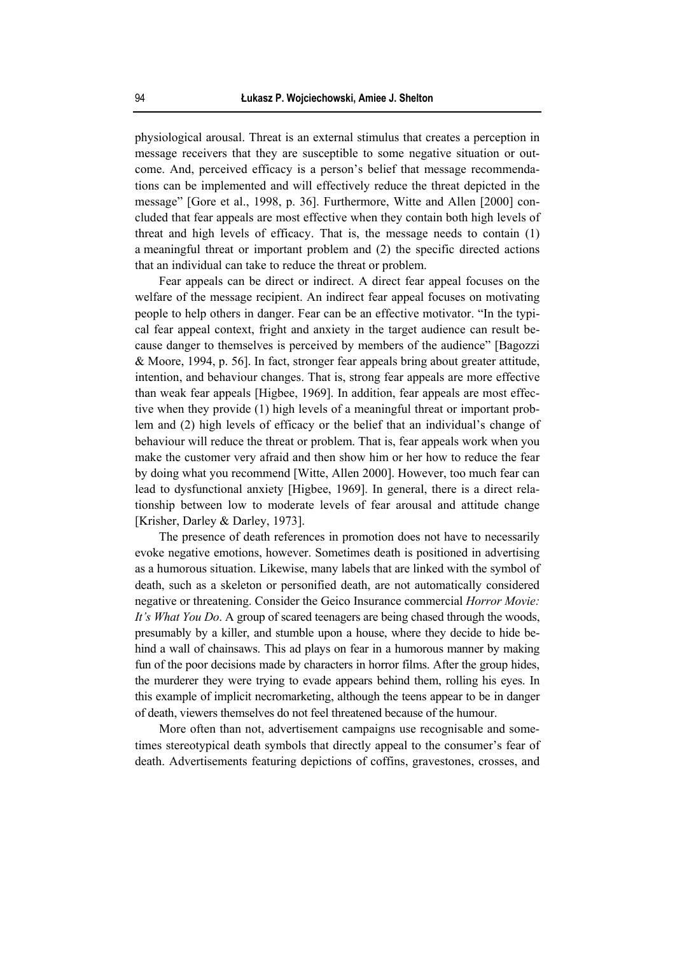physiological arousal. Threat is an external stimulus that creates a perception in message receivers that they are susceptible to some negative situation or outcome. And, perceived efficacy is a person's belief that message recommendations can be implemented and will effectively reduce the threat depicted in the message" [Gore et al., 1998, p. 36]. Furthermore, Witte and Allen [2000] concluded that fear appeals are most effective when they contain both high levels of threat and high levels of efficacy. That is, the message needs to contain (1) a meaningful threat or important problem and (2) the specific directed actions that an individual can take to reduce the threat or problem.

Fear appeals can be direct or indirect. A direct fear appeal focuses on the welfare of the message recipient. An indirect fear appeal focuses on motivating people to help others in danger. Fear can be an effective motivator. "In the typical fear appeal context, fright and anxiety in the target audience can result because danger to themselves is perceived by members of the audience" [Bagozzi & Moore, 1994, p. 56]. In fact, stronger fear appeals bring about greater attitude, intention, and behaviour changes. That is, strong fear appeals are more effective than weak fear appeals [Higbee, 1969]. In addition, fear appeals are most effective when they provide (1) high levels of a meaningful threat or important problem and (2) high levels of efficacy or the belief that an individual's change of behaviour will reduce the threat or problem. That is, fear appeals work when you make the customer very afraid and then show him or her how to reduce the fear by doing what you recommend [Witte, Allen 2000]. However, too much fear can lead to dysfunctional anxiety [Higbee, 1969]. In general, there is a direct relationship between low to moderate levels of fear arousal and attitude change [Krisher, Darley & Darley, 1973].

The presence of death references in promotion does not have to necessarily evoke negative emotions, however. Sometimes death is positioned in advertising as a humorous situation. Likewise, many labels that are linked with the symbol of death, such as a skeleton or personified death, are not automatically considered negative or threatening. Consider the Geico Insurance commercial *Horror Movie: It's What You Do*. A group of scared teenagers are being chased through the woods, presumably by a killer, and stumble upon a house, where they decide to hide behind a wall of chainsaws. This ad plays on fear in a humorous manner by making fun of the poor decisions made by characters in horror films. After the group hides, the murderer they were trying to evade appears behind them, rolling his eyes. In this example of implicit necromarketing, although the teens appear to be in danger of death, viewers themselves do not feel threatened because of the humour.

More often than not, advertisement campaigns use recognisable and sometimes stereotypical death symbols that directly appeal to the consumer's fear of death. Advertisements featuring depictions of coffins, gravestones, crosses, and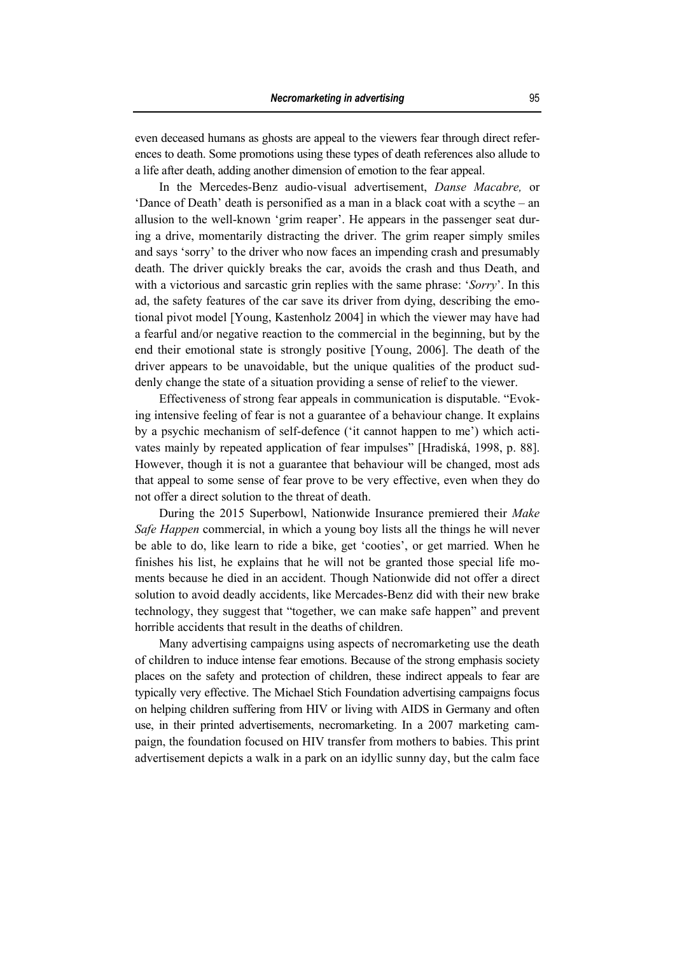even deceased humans as ghosts are appeal to the viewers fear through direct references to death. Some promotions using these types of death references also allude to a life after death, adding another dimension of emotion to the fear appeal.

In the Mercedes-Benz audio-visual advertisement, *Danse Macabre,* or 'Dance of Death' death is personified as a man in a black coat with a scythe – an allusion to the well-known 'grim reaper'. He appears in the passenger seat during a drive, momentarily distracting the driver. The grim reaper simply smiles and says 'sorry' to the driver who now faces an impending crash and presumably death. The driver quickly breaks the car, avoids the crash and thus Death, and with a victorious and sarcastic grin replies with the same phrase: '*Sorry*'. In this ad, the safety features of the car save its driver from dying, describing the emotional pivot model [Young, Kastenholz 2004] in which the viewer may have had a fearful and/or negative reaction to the commercial in the beginning, but by the end their emotional state is strongly positive [Young, 2006]. The death of the driver appears to be unavoidable, but the unique qualities of the product suddenly change the state of a situation providing a sense of relief to the viewer.

Effectiveness of strong fear appeals in communication is disputable. "Evoking intensive feeling of fear is not a guarantee of a behaviour change. It explains by a psychic mechanism of self-defence ('it cannot happen to me') which activates mainly by repeated application of fear impulses" [Hradiská, 1998, p. 88]. However, though it is not a guarantee that behaviour will be changed, most ads that appeal to some sense of fear prove to be very effective, even when they do not offer a direct solution to the threat of death.

During the 2015 Superbowl, Nationwide Insurance premiered their *Make Safe Happen* commercial, in which a young boy lists all the things he will never be able to do, like learn to ride a bike, get 'cooties', or get married. When he finishes his list, he explains that he will not be granted those special life moments because he died in an accident. Though Nationwide did not offer a direct solution to avoid deadly accidents, like Mercades-Benz did with their new brake technology, they suggest that "together, we can make safe happen" and prevent horrible accidents that result in the deaths of children.

Many advertising campaigns using aspects of necromarketing use the death of children to induce intense fear emotions. Because of the strong emphasis society places on the safety and protection of children, these indirect appeals to fear are typically very effective. The Michael Stich Foundation advertising campaigns focus on helping children suffering from HIV or living with AIDS in Germany and often use, in their printed advertisements, necromarketing. In a 2007 marketing campaign, the foundation focused on HIV transfer from mothers to babies. This print advertisement depicts a walk in a park on an idyllic sunny day, but the calm face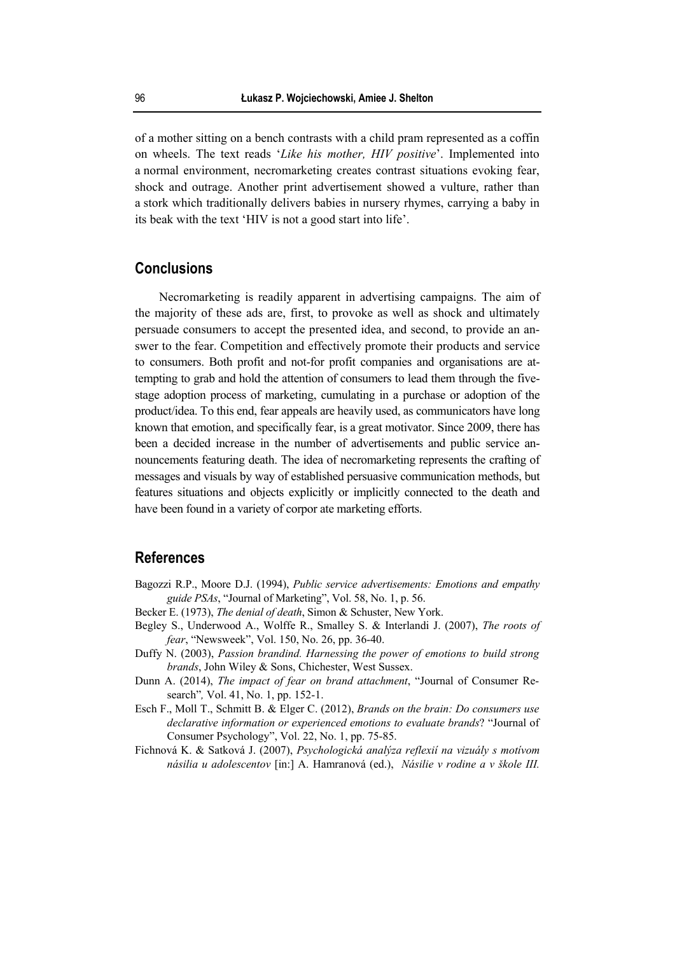of a mother sitting on a bench contrasts with a child pram represented as a coffin on wheels. The text reads '*Like his mother, HIV positive*'. Implemented into a normal environment, necromarketing creates contrast situations evoking fear, shock and outrage. Another print advertisement showed a vulture, rather than a stork which traditionally delivers babies in nursery rhymes, carrying a baby in its beak with the text 'HIV is not a good start into life'.

#### **Conclusions**

Necromarketing is readily apparent in advertising campaigns. The aim of the majority of these ads are, first, to provoke as well as shock and ultimately persuade consumers to accept the presented idea, and second, to provide an answer to the fear. Competition and effectively promote their products and service to consumers. Both profit and not-for profit companies and organisations are attempting to grab and hold the attention of consumers to lead them through the fivestage adoption process of marketing, cumulating in a purchase or adoption of the product/idea. To this end, fear appeals are heavily used, as communicators have long known that emotion, and specifically fear, is a great motivator. Since 2009, there has been a decided increase in the number of advertisements and public service announcements featuring death. The idea of necromarketing represents the crafting of messages and visuals by way of established persuasive communication methods, but features situations and objects explicitly or implicitly connected to the death and have been found in a variety of corpor ate marketing efforts.

#### **References**

- Bagozzi R.P., Moore D.J. (1994), *Public service advertisements: Emotions and empathy guide PSAs*, "Journal of Marketing", Vol. 58, No. 1, p. 56.
- Becker E. (1973), *The denial of death*, Simon & Schuster, New York.
- Begley S., Underwood A., Wolffe R., Smalley S. & Interlandi J. (2007), *The roots of fear*, "Newsweek", Vol. 150, No. 26, pp. 36-40.
- Duffy N. (2003), *Passion brandind. Harnessing the power of emotions to build strong brands*, John Wiley & Sons, Chichester, West Sussex.
- Dunn A. (2014), *The impact of fear on brand attachment*, "Journal of Consumer Research"*,* Vol. 41, No. 1, pp. 152-1.
- Esch F., Moll T., Schmitt B. & Elger C. (2012), *Brands on the brain: Do consumers use declarative information or experienced emotions to evaluate brands*? "Journal of Consumer Psychology", Vol. 22, No. 1, pp. 75-85.
- Fichnová K. & Satková J. (2007), *Psychologická analýza reflexií na vizuály s motívom násilia u adolescentov* [in:] A. Hamranová (ed.), *Násilie v rodine a v škole III.*